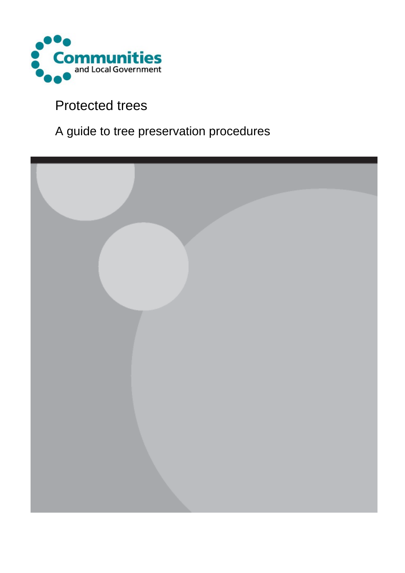

## Protected trees

# A guide to tree preservation procedures

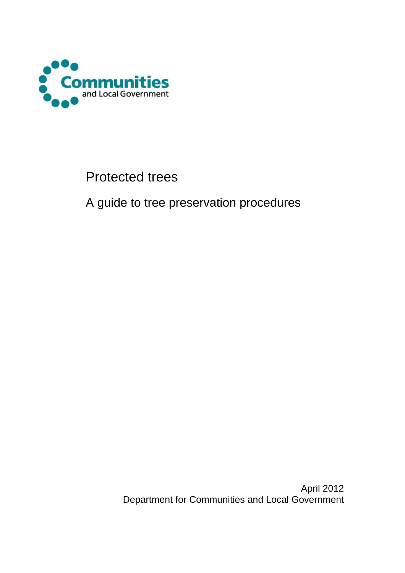

## Protected trees

A guide to tree preservation procedures

April 2012 Department for Communities and Local Government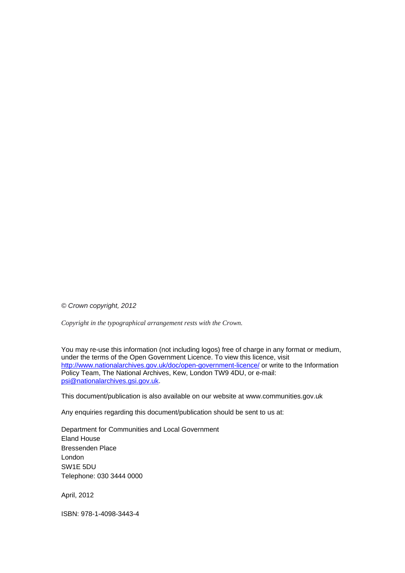*© Crown copyright, 2012* 

*Copyright in the typographical arrangement rests with the Crown.*

You may re-use this information (not including logos) free of charge in any format or medium, under the terms of the Open Government Licence. To view this licence, visit <http://www.nationalarchives.gov.uk/doc/open-government-licence/> or write to the Information Policy Team, The National Archives, Kew, London TW9 4DU, or e-mail: [psi@nationalarchives.gsi.gov.uk.](mailto:psi@nationalarchives.gsi.gov.uk)

This document/publication is also available on our website at www.communities.gov.uk

Any enquiries regarding this document/publication should be sent to us at:

Department for Communities and Local Government Eland House Bressenden Place London SW1E 5DU Telephone: 030 3444 0000

April, 2012

ISBN: 978-1-4098-3443-4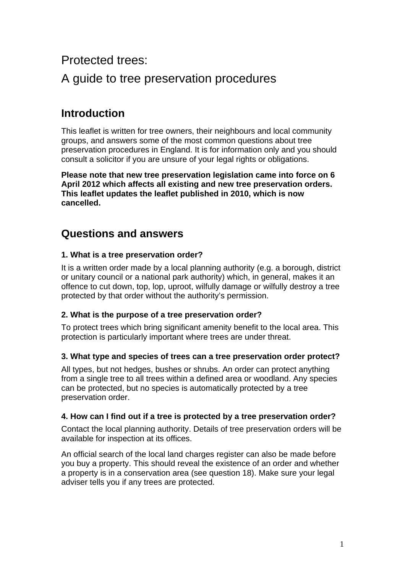## Protected trees:

## A guide to tree preservation procedures

## **Introduction**

This leaflet is written for tree owners, their neighbours and local community groups, and answers some of the most common questions about tree preservation procedures in England. It is for information only and you should consult a solicitor if you are unsure of your legal rights or obligations.

**Please note that new tree preservation legislation came into force on 6 April 2012 which affects all existing and new tree preservation orders. This leaflet updates the leaflet published in 2010, which is now cancelled.** 

### **Questions and answers**

#### **1. What is a tree preservation order?**

It is a written order made by a local planning authority (e.g. a borough, district or unitary council or a national park authority) which, in general, makes it an offence to cut down, top, lop, uproot, wilfully damage or wilfully destroy a tree protected by that order without the authority's permission.

#### **2. What is the purpose of a tree preservation order?**

To protect trees which bring significant amenity benefit to the local area. This protection is particularly important where trees are under threat.

#### **3. What type and species of trees can a tree preservation order protect?**

All types, but not hedges, bushes or shrubs. An order can protect anything from a single tree to all trees within a defined area or woodland. Any species can be protected, but no species is automatically protected by a tree preservation order.

#### **4. How can I find out if a tree is protected by a tree preservation order?**

Contact the local planning authority. Details of tree preservation orders will be available for inspection at its offices.

An official search of the local land charges register can also be made before you buy a property. This should reveal the existence of an order and whether a property is in a conservation area (see question 18). Make sure your legal adviser tells you if any trees are protected.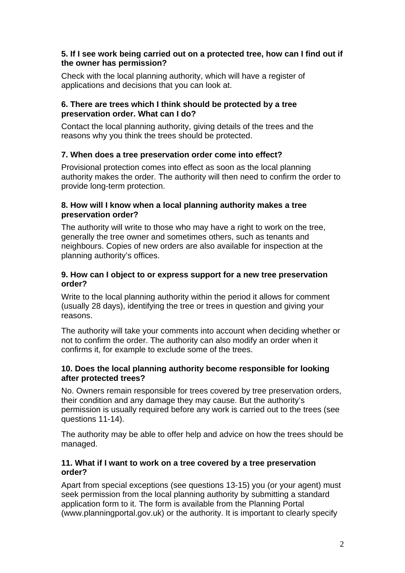#### **5. If I see work being carried out on a protected tree, how can I find out if the owner has permission?**

Check with the local planning authority, which will have a register of applications and decisions that you can look at.

#### **6. There are trees which I think should be protected by a tree preservation order. What can I do?**

Contact the local planning authority, giving details of the trees and the reasons why you think the trees should be protected.

#### **7. When does a tree preservation order come into effect?**

Provisional protection comes into effect as soon as the local planning authority makes the order. The authority will then need to confirm the order to provide long-term protection.

#### **8. How will I know when a local planning authority makes a tree preservation order?**

The authority will write to those who may have a right to work on the tree, generally the tree owner and sometimes others, such as tenants and neighbours. Copies of new orders are also available for inspection at the planning authority's offices.

#### **9. How can I object to or express support for a new tree preservation order?**

Write to the local planning authority within the period it allows for comment (usually 28 days), identifying the tree or trees in question and giving your reasons.

The authority will take your comments into account when deciding whether or not to confirm the order. The authority can also modify an order when it confirms it, for example to exclude some of the trees.

#### **10. Does the local planning authority become responsible for looking after protected trees?**

No. Owners remain responsible for trees covered by tree preservation orders, their condition and any damage they may cause. But the authority's permission is usually required before any work is carried out to the trees (see questions 11-14).

The authority may be able to offer help and advice on how the trees should be managed.

#### **11. What if I want to work on a tree covered by a tree preservation order?**

Apart from special exceptions (see questions 13-15) you (or your agent) must seek permission from the local planning authority by submitting a standard application form to it. The form is available from the Planning Portal (www.planningportal.gov.uk) or the authority. It is important to clearly specify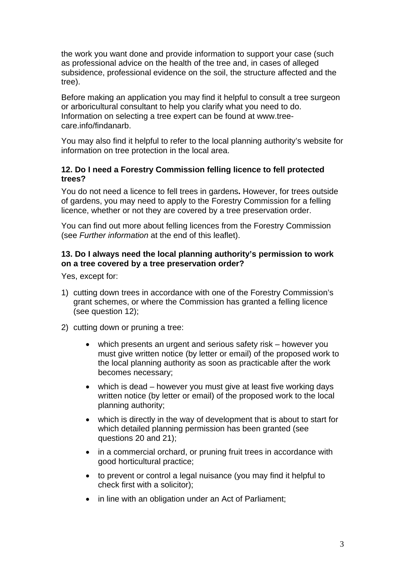the work you want done and provide information to support your case (such as professional advice on the health of the tree and, in cases of alleged subsidence, professional evidence on the soil, the structure affected and the tree).

Before making an application you may find it helpful to consult a tree surgeon or arboricultural consultant to help you clarify what you need to do. Information on selecting a tree expert can be found at www.treecare.info/findanarb.

You may also find it helpful to refer to the local planning authority's website for information on tree protection in the local area.

#### **12. Do I need a Forestry Commission felling licence to fell protected trees?**

You do not need a licence to fell trees in gardens**.** However, for trees outside of gardens, you may need to apply to the Forestry Commission for a felling licence, whether or not they are covered by a tree preservation order.

You can find out more about felling licences from the Forestry Commission (see *Further information* at the end of this leaflet).

#### **13. Do I always need the local planning authority's permission to work on a tree covered by a tree preservation order?**

Yes, except for:

- 1) cutting down trees in accordance with one of the Forestry Commission's grant schemes, or where the Commission has granted a felling licence (see question 12);
- 2) cutting down or pruning a tree:
	- which presents an urgent and serious safety risk however you must give written notice (by letter or email) of the proposed work to the local planning authority as soon as practicable after the work becomes necessary;
	- which is dead however you must give at least five working days written notice (by letter or email) of the proposed work to the local planning authority;
	- which is directly in the way of development that is about to start for which detailed planning permission has been granted (see questions 20 and 21);
	- in a commercial orchard, or pruning fruit trees in accordance with good horticultural practice;
	- to prevent or control a legal nuisance (you may find it helpful to check first with a solicitor);
	- in line with an obligation under an Act of Parliament;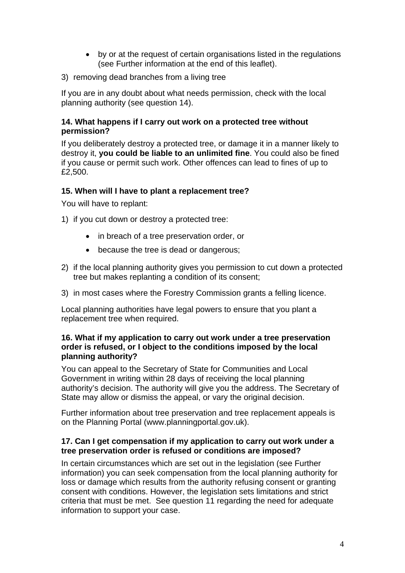- by or at the request of certain organisations listed in the regulations (see Further information at the end of this leaflet).
- 3) removing dead branches from a living tree

If you are in any doubt about what needs permission, check with the local planning authority (see question 14).

#### **14. What happens if I carry out work on a protected tree without permission?**

If you deliberately destroy a protected tree, or damage it in a manner likely to destroy it, **you could be liable to an unlimited fine**. You could also be fined if you cause or permit such work. Other offences can lead to fines of up to £2,500.

#### **15. When will I have to plant a replacement tree?**

You will have to replant:

- 1) if you cut down or destroy a protected tree:
	- in breach of a tree preservation order, or
	- because the tree is dead or dangerous;
- 2) if the local planning authority gives you permission to cut down a protected tree but makes replanting a condition of its consent;
- 3) in most cases where the Forestry Commission grants a felling licence.

Local planning authorities have legal powers to ensure that you plant a replacement tree when required.

#### **16. What if my application to carry out work under a tree preservation order is refused, or I object to the conditions imposed by the local planning authority?**

You can appeal to the Secretary of State for Communities and Local Government in writing within 28 days of receiving the local planning authority's decision. The authority will give you the address. The Secretary of State may allow or dismiss the appeal, or vary the original decision.

Further information about tree preservation and tree replacement appeals is on the Planning Portal (www.planningportal.gov.uk).

#### **17. Can I get compensation if my application to carry out work under a tree preservation order is refused or conditions are imposed?**

In certain circumstances which are set out in the legislation (see Further information) you can seek compensation from the local planning authority for loss or damage which results from the authority refusing consent or granting consent with conditions. However, the legislation sets limitations and strict criteria that must be met. See question 11 regarding the need for adequate information to support your case.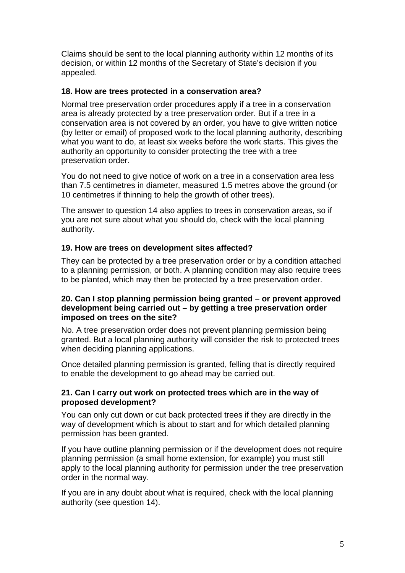Claims should be sent to the local planning authority within 12 months of its decision, or within 12 months of the Secretary of State's decision if you appealed.

#### **18. How are trees protected in a conservation area?**

Normal tree preservation order procedures apply if a tree in a conservation area is already protected by a tree preservation order. But if a tree in a conservation area is not covered by an order, you have to give written notice (by letter or email) of proposed work to the local planning authority, describing what you want to do, at least six weeks before the work starts. This gives the authority an opportunity to consider protecting the tree with a tree preservation order.

You do not need to give notice of work on a tree in a conservation area less than 7.5 centimetres in diameter, measured 1.5 metres above the ground (or 10 centimetres if thinning to help the growth of other trees).

The answer to question 14 also applies to trees in conservation areas, so if you are not sure about what you should do, check with the local planning authority.

#### **19. How are trees on development sites affected?**

They can be protected by a tree preservation order or by a condition attached to a planning permission, or both. A planning condition may also require trees to be planted, which may then be protected by a tree preservation order.

#### **20. Can I stop planning permission being granted – or prevent approved development being carried out – by getting a tree preservation order imposed on trees on the site?**

No. A tree preservation order does not prevent planning permission being granted. But a local planning authority will consider the risk to protected trees when deciding planning applications.

Once detailed planning permission is granted, felling that is directly required to enable the development to go ahead may be carried out.

#### **21. Can I carry out work on protected trees which are in the way of proposed development?**

You can only cut down or cut back protected trees if they are directly in the way of development which is about to start and for which detailed planning permission has been granted.

If you have outline planning permission or if the development does not require planning permission (a small home extension, for example) you must still apply to the local planning authority for permission under the tree preservation order in the normal way.

If you are in any doubt about what is required, check with the local planning authority (see question 14).